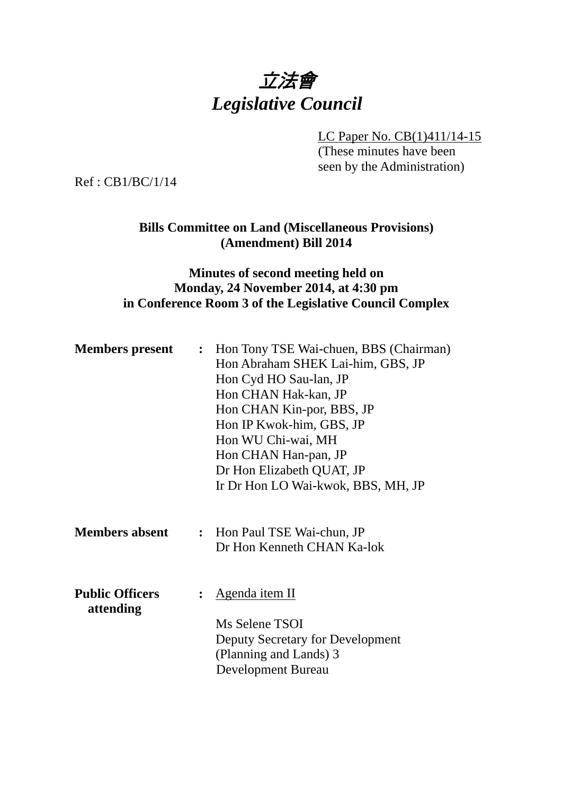

LC Paper No. CB(1)411/14-15

(These minutes have been seen by the Administration)

Ref : CB1/BC/1/14

**Bills Committee on Land (Miscellaneous Provisions) (Amendment) Bill 2014** 

## **Minutes of second meeting held on Monday, 24 November 2014, at 4:30 pm in Conference Room 3 of the Legislative Council Complex**

| <b>Members present</b>              | $\ddot{\cdot}$ | Hon Tony TSE Wai-chuen, BBS (Chairman)<br>Hon Abraham SHEK Lai-him, GBS, JP<br>Hon Cyd HO Sau-lan, JP<br>Hon CHAN Hak-kan, JP<br>Hon CHAN Kin-por, BBS, JP<br>Hon IP Kwok-him, GBS, JP<br>Hon WU Chi-wai, MH<br>Hon CHAN Han-pan, JP<br>Dr Hon Elizabeth QUAT, JP<br>Ir Dr Hon LO Wai-kwok, BBS, MH, JP |
|-------------------------------------|----------------|---------------------------------------------------------------------------------------------------------------------------------------------------------------------------------------------------------------------------------------------------------------------------------------------------------|
| <b>Members absent</b>               |                | : Hon Paul TSE Wai-chun, JP<br>Dr Hon Kenneth CHAN Ka-lok                                                                                                                                                                                                                                               |
| <b>Public Officers</b><br>attending |                | Agenda item II<br>Ms Selene TSOI<br>Deputy Secretary for Development<br>(Planning and Lands) 3<br><b>Development Bureau</b>                                                                                                                                                                             |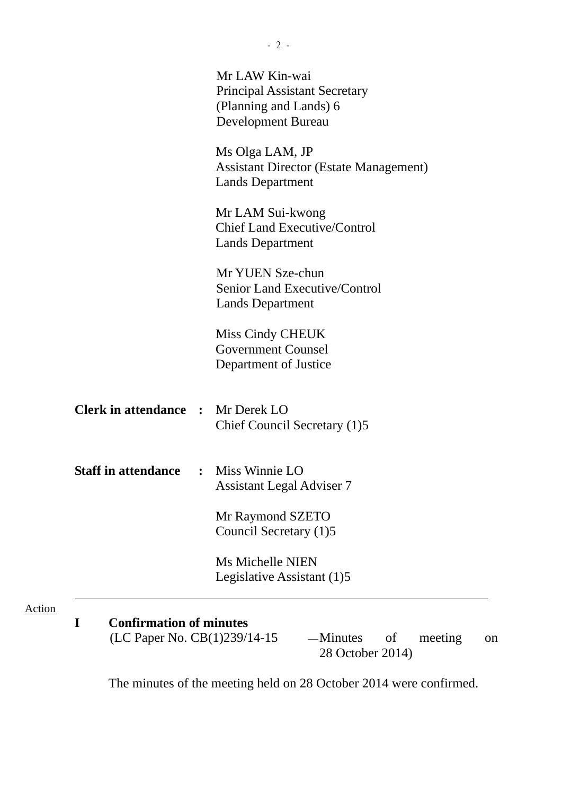| Ms Olga LAM, JP<br><b>Assistant Director (Estate Management)</b><br><b>Lands Department</b><br>Mr LAM Sui-kwong<br><b>Chief Land Executive/Control</b><br><b>Lands Department</b><br>Mr YUEN Sze-chun<br>Senior Land Executive/Control<br><b>Lands Department</b><br>Miss Cindy CHEUK<br><b>Government Counsel</b><br>Department of Justice |
|---------------------------------------------------------------------------------------------------------------------------------------------------------------------------------------------------------------------------------------------------------------------------------------------------------------------------------------------|
|                                                                                                                                                                                                                                                                                                                                             |
|                                                                                                                                                                                                                                                                                                                                             |
|                                                                                                                                                                                                                                                                                                                                             |
|                                                                                                                                                                                                                                                                                                                                             |
| <b>Clerk in attendance : Mr Derek LO</b><br>Chief Council Secretary (1)5                                                                                                                                                                                                                                                                    |
| <b>Staff in attendance : Miss Winnie LO</b><br><b>Assistant Legal Adviser 7</b>                                                                                                                                                                                                                                                             |
| Mr Raymond SZETO<br>Council Secretary (1)5                                                                                                                                                                                                                                                                                                  |
| <b>Ms Michelle NIEN</b><br>Legislative Assistant (1)5                                                                                                                                                                                                                                                                                       |
| <b>Confirmation of minutes</b><br>(LC Paper No. CB(1)239/14-15                                                                                                                                                                                                                                                                              |

The minutes of the meeting held on 28 October 2014 were confirmed.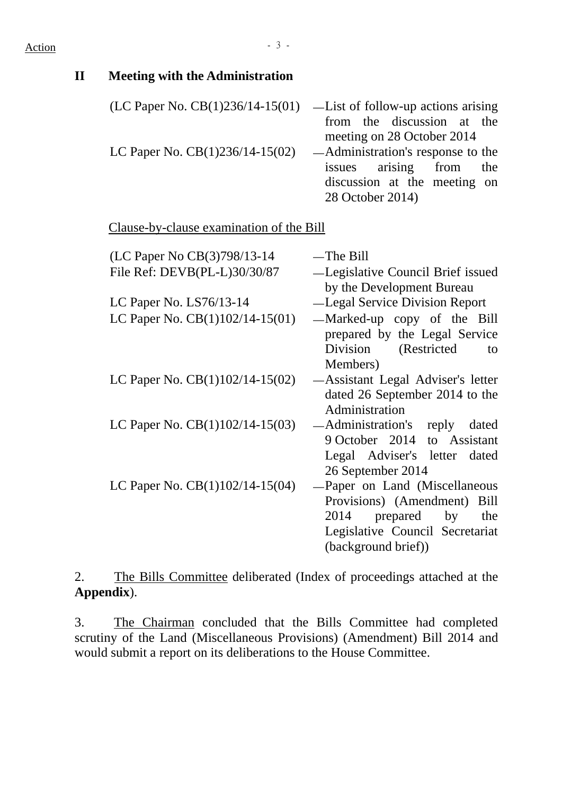## Action - 3 -

| $\mathbf{I}\mathbf{I}$ | <b>Meeting with the Administration</b>          |                                                                                                                                                         |
|------------------------|-------------------------------------------------|---------------------------------------------------------------------------------------------------------------------------------------------------------|
|                        | (LC Paper No. $CB(1)236/14-15(01)$              | -List of follow-up actions arising<br>from the<br>discussion<br>the<br>at<br>meeting on 28 October 2014                                                 |
|                        | LC Paper No. $CB(1)236/14-15(02)$               | Administration's response to the<br>arising<br>from<br>the<br>issues<br>discussion at the meeting<br>on<br>28 October 2014)                             |
|                        | <u>Clause-by-clause examination of the Bill</u> |                                                                                                                                                         |
|                        | (LC Paper No CB(3)798/13-14                     | $-$ The Bill                                                                                                                                            |
|                        | File Ref: DEVB(PL-L)30/30/87                    | -Legislative Council Brief issued<br>by the Development Bureau                                                                                          |
|                        | LC Paper No. LS76/13-14                         | -Legal Service Division Report                                                                                                                          |
|                        | LC Paper No. $CB(1)102/14-15(01)$               | -Marked-up copy of the Bill<br>prepared by the Legal Service<br>Division<br>(Restricted<br>to<br>Members)                                               |
|                        | LC Paper No. $CB(1)102/14-15(02)$               | -Assistant Legal Adviser's letter<br>dated 26 September 2014 to the<br>Administration                                                                   |
|                        | LC Paper No. $CB(1)102/14-15(03)$               | — Administration's reply<br>dated<br>9 October 2014<br>to Assistant<br>Legal Adviser's letter<br>dated<br>26 September 2014                             |
|                        | LC Paper No. CB(1)102/14-15(04)                 | Paper on Land (Miscellaneous<br>Provisions) (Amendment) Bill<br>2014<br>by<br>prepared<br>the<br>Legislative Council Secretariat<br>(background brief)) |

2. The Bills Committee deliberated (Index of proceedings attached at the **Appendix**).

3. The Chairman concluded that the Bills Committee had completed scrutiny of the Land (Miscellaneous Provisions) (Amendment) Bill 2014 and would submit a report on its deliberations to the House Committee.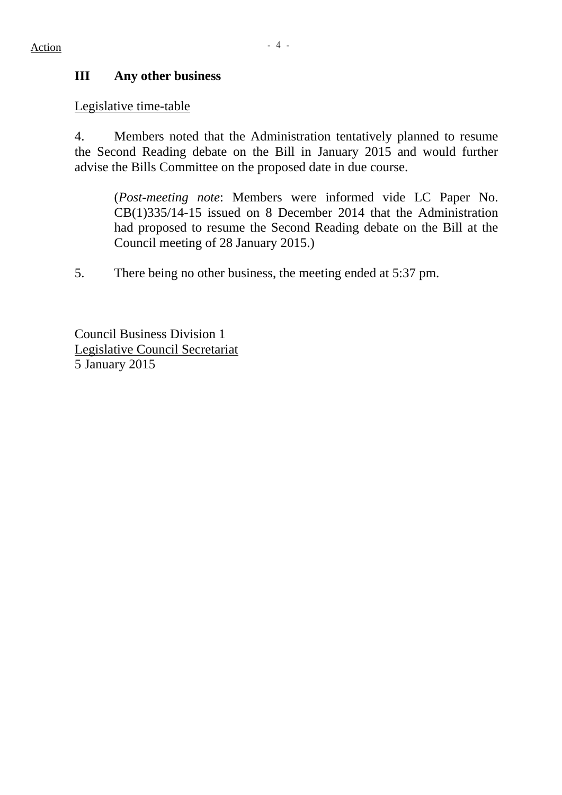Legislative time-table

4. Members noted that the Administration tentatively planned to resume the Second Reading debate on the Bill in January 2015 and would further advise the Bills Committee on the proposed date in due course.

(*Post-meeting note*: Members were informed vide LC Paper No. CB(1)335/14-15 issued on 8 December 2014 that the Administration had proposed to resume the Second Reading debate on the Bill at the Council meeting of 28 January 2015.)

5. There being no other business, the meeting ended at 5:37 pm.

Council Business Division 1 Legislative Council Secretariat 5 January 2015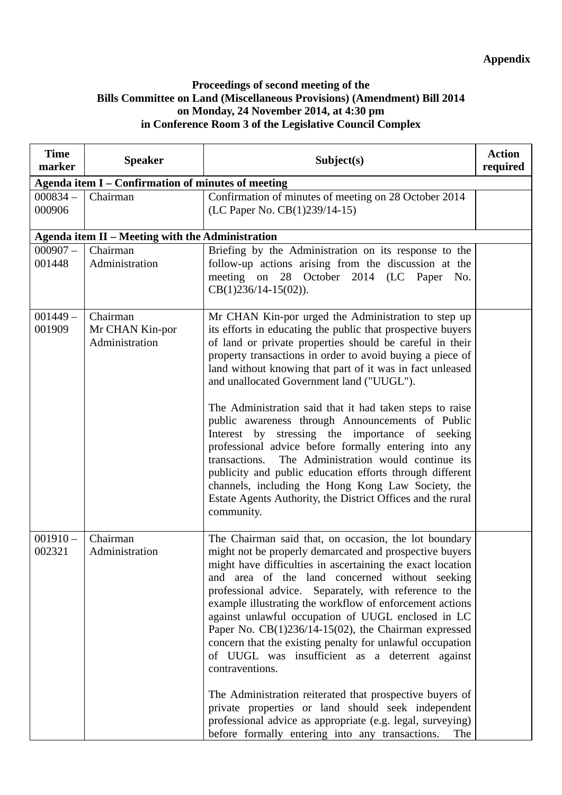## **Proceedings of second meeting of the Bills Committee on Land (Miscellaneous Provisions) (Amendment) Bill 2014 on Monday, 24 November 2014, at 4:30 pm in Conference Room 3 of the Legislative Council Complex**

| <b>Time</b><br>marker                              | <b>Speaker</b>                                   | Subject(s)                                                                                                                                                                                                                                                                                                                                                                                                                                                                                                                                                                                                                                                                                                                                                                                                                                           | <b>Action</b><br>required |
|----------------------------------------------------|--------------------------------------------------|------------------------------------------------------------------------------------------------------------------------------------------------------------------------------------------------------------------------------------------------------------------------------------------------------------------------------------------------------------------------------------------------------------------------------------------------------------------------------------------------------------------------------------------------------------------------------------------------------------------------------------------------------------------------------------------------------------------------------------------------------------------------------------------------------------------------------------------------------|---------------------------|
| Agenda item I - Confirmation of minutes of meeting |                                                  |                                                                                                                                                                                                                                                                                                                                                                                                                                                                                                                                                                                                                                                                                                                                                                                                                                                      |                           |
| $000834 -$<br>000906                               | Chairman                                         | Confirmation of minutes of meeting on 28 October 2014<br>(LC Paper No. CB(1)239/14-15)                                                                                                                                                                                                                                                                                                                                                                                                                                                                                                                                                                                                                                                                                                                                                               |                           |
|                                                    | Agenda item II - Meeting with the Administration |                                                                                                                                                                                                                                                                                                                                                                                                                                                                                                                                                                                                                                                                                                                                                                                                                                                      |                           |
| $000907 -$<br>001448                               | Chairman<br>Administration                       | Briefing by the Administration on its response to the<br>follow-up actions arising from the discussion at the<br>meeting on 28 October 2014 (LC Paper<br>No.<br>CB(1)236/14-15(02)).                                                                                                                                                                                                                                                                                                                                                                                                                                                                                                                                                                                                                                                                 |                           |
| $001449 -$<br>001909                               | Chairman<br>Mr CHAN Kin-por<br>Administration    | Mr CHAN Kin-por urged the Administration to step up<br>its efforts in educating the public that prospective buyers<br>of land or private properties should be careful in their<br>property transactions in order to avoid buying a piece of<br>land without knowing that part of it was in fact unleased<br>and unallocated Government land ("UUGL").<br>The Administration said that it had taken steps to raise<br>public awareness through Announcements of Public<br>stressing the importance of seeking<br>Interest by<br>professional advice before formally entering into any<br>The Administration would continue its<br>transactions.<br>publicity and public education efforts through different<br>channels, including the Hong Kong Law Society, the<br>Estate Agents Authority, the District Offices and the rural<br>community.        |                           |
| $001910 -$<br>002321                               | Chairman<br>Administration                       | The Chairman said that, on occasion, the lot boundary<br>might not be properly demarcated and prospective buyers<br>might have difficulties in ascertaining the exact location<br>and area of the land concerned without seeking<br>professional advice. Separately, with reference to the<br>example illustrating the workflow of enforcement actions<br>against unlawful occupation of UUGL enclosed in LC<br>Paper No. $CB(1)236/14-15(02)$ , the Chairman expressed<br>concern that the existing penalty for unlawful occupation<br>of UUGL was insufficient as a deterrent against<br>contraventions.<br>The Administration reiterated that prospective buyers of<br>private properties or land should seek independent<br>professional advice as appropriate (e.g. legal, surveying)<br>before formally entering into any transactions.<br>The |                           |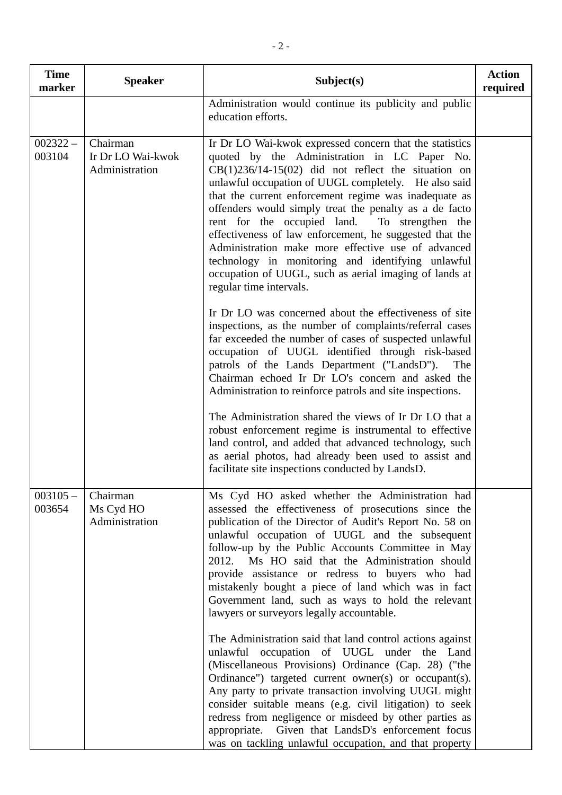| <b>Time</b><br>marker | <b>Speaker</b>                                  | Subject(s)                                                                                                                                                                                                                                                                                                                                                                                                                                                                                                                                                                                                                                                                                                                                                                                                                                                                                                                                                                                                                                                                                                                                                                                                                                                                                                                                                      | <b>Action</b><br>required |
|-----------------------|-------------------------------------------------|-----------------------------------------------------------------------------------------------------------------------------------------------------------------------------------------------------------------------------------------------------------------------------------------------------------------------------------------------------------------------------------------------------------------------------------------------------------------------------------------------------------------------------------------------------------------------------------------------------------------------------------------------------------------------------------------------------------------------------------------------------------------------------------------------------------------------------------------------------------------------------------------------------------------------------------------------------------------------------------------------------------------------------------------------------------------------------------------------------------------------------------------------------------------------------------------------------------------------------------------------------------------------------------------------------------------------------------------------------------------|---------------------------|
|                       |                                                 | Administration would continue its publicity and public<br>education efforts.                                                                                                                                                                                                                                                                                                                                                                                                                                                                                                                                                                                                                                                                                                                                                                                                                                                                                                                                                                                                                                                                                                                                                                                                                                                                                    |                           |
| $002322 -$<br>003104  | Chairman<br>Ir Dr LO Wai-kwok<br>Administration | Ir Dr LO Wai-kwok expressed concern that the statistics<br>quoted by the Administration in LC Paper No.<br>$CB(1)236/14-15(02)$ did not reflect the situation on<br>unlawful occupation of UUGL completely. He also said<br>that the current enforcement regime was inadequate as<br>offenders would simply treat the penalty as a de facto<br>rent for the occupied land.<br>To strengthen the<br>effectiveness of law enforcement, he suggested that the<br>Administration make more effective use of advanced<br>technology in monitoring and identifying unlawful<br>occupation of UUGL, such as aerial imaging of lands at<br>regular time intervals.<br>In Dr LO was concerned about the effectiveness of site<br>inspections, as the number of complaints/referral cases<br>far exceeded the number of cases of suspected unlawful<br>occupation of UUGL identified through risk-based<br>patrols of the Lands Department ("LandsD").<br>The<br>Chairman echoed Ir Dr LO's concern and asked the<br>Administration to reinforce patrols and site inspections.<br>The Administration shared the views of Ir Dr LO that a<br>robust enforcement regime is instrumental to effective<br>land control, and added that advanced technology, such<br>as aerial photos, had already been used to assist and<br>facilitate site inspections conducted by LandsD. |                           |
| $003105 -$<br>003654  | Chairman<br>Ms Cyd HO<br>Administration         | Ms Cyd HO asked whether the Administration had<br>assessed the effectiveness of prosecutions since the<br>publication of the Director of Audit's Report No. 58 on<br>unlawful occupation of UUGL and the subsequent<br>follow-up by the Public Accounts Committee in May<br>2012. Ms HO said that the Administration should<br>provide assistance or redress to buyers who had<br>mistakenly bought a piece of land which was in fact<br>Government land, such as ways to hold the relevant<br>lawyers or surveyors legally accountable.<br>The Administration said that land control actions against<br>unlawful occupation of UUGL under the Land<br>(Miscellaneous Provisions) Ordinance (Cap. 28) ("the<br>Ordinance") targeted current owner(s) or occupant(s).<br>Any party to private transaction involving UUGL might<br>consider suitable means (e.g. civil litigation) to seek<br>redress from negligence or misdeed by other parties as<br>appropriate. Given that LandsD's enforcement focus<br>was on tackling unlawful occupation, and that property                                                                                                                                                                                                                                                                                              |                           |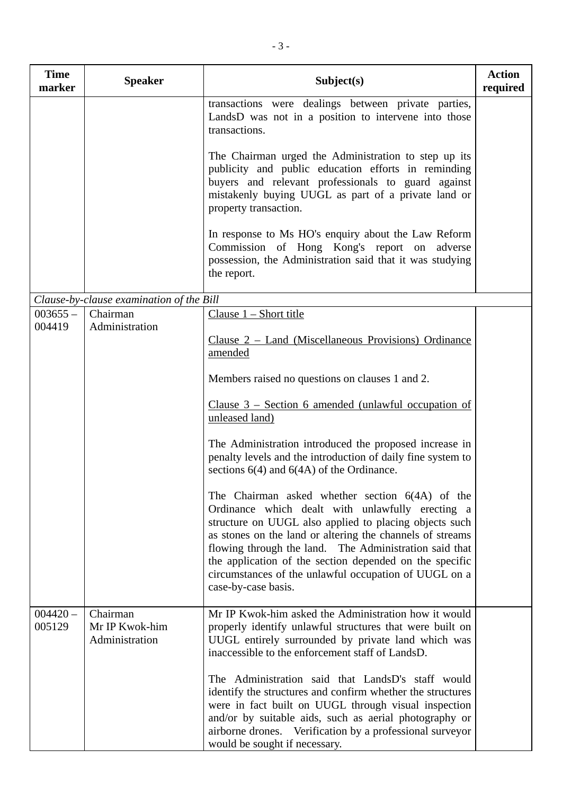| <b>Time</b><br>marker | <b>Speaker</b>                               | Subject(s)                                                                                                                                                                                                                                                                                                                                                                                                                                                                              | <b>Action</b><br>required |
|-----------------------|----------------------------------------------|-----------------------------------------------------------------------------------------------------------------------------------------------------------------------------------------------------------------------------------------------------------------------------------------------------------------------------------------------------------------------------------------------------------------------------------------------------------------------------------------|---------------------------|
|                       |                                              | transactions were dealings between private parties,<br>LandsD was not in a position to intervene into those<br>transactions.<br>The Chairman urged the Administration to step up its<br>publicity and public education efforts in reminding<br>buyers and relevant professionals to guard against<br>mistakenly buying UUGL as part of a private land or<br>property transaction.<br>In response to Ms HO's enquiry about the Law Reform<br>Commission of Hong Kong's report on adverse |                           |
|                       |                                              | possession, the Administration said that it was studying<br>the report.                                                                                                                                                                                                                                                                                                                                                                                                                 |                           |
|                       | Clause-by-clause examination of the Bill     |                                                                                                                                                                                                                                                                                                                                                                                                                                                                                         |                           |
| $003655 -$<br>004419  | Chairman<br>Administration                   | Clause $1 -$ Short title<br>Clause $2$ – Land (Miscellaneous Provisions) Ordinance<br>amended                                                                                                                                                                                                                                                                                                                                                                                           |                           |
|                       |                                              | Members raised no questions on clauses 1 and 2.                                                                                                                                                                                                                                                                                                                                                                                                                                         |                           |
|                       |                                              | Clause $3$ – Section 6 amended (unlawful occupation of<br>unleased land)                                                                                                                                                                                                                                                                                                                                                                                                                |                           |
|                       |                                              | The Administration introduced the proposed increase in<br>penalty levels and the introduction of daily fine system to<br>sections $6(4)$ and $6(4A)$ of the Ordinance.                                                                                                                                                                                                                                                                                                                  |                           |
|                       |                                              | The Chairman asked whether section $6(4A)$ of the<br>Ordinance which dealt with unlawfully erecting a<br>structure on UUGL also applied to placing objects such<br>as stones on the land or altering the channels of streams<br>flowing through the land. The Administration said that<br>the application of the section depended on the specific<br>circumstances of the unlawful occupation of UUGL on a<br>case-by-case basis.                                                       |                           |
| $004420 -$<br>005129  | Chairman<br>Mr IP Kwok-him<br>Administration | Mr IP Kwok-him asked the Administration how it would<br>properly identify unlawful structures that were built on<br>UUGL entirely surrounded by private land which was<br>inaccessible to the enforcement staff of LandsD.                                                                                                                                                                                                                                                              |                           |
|                       |                                              | The Administration said that LandsD's staff would<br>identify the structures and confirm whether the structures<br>were in fact built on UUGL through visual inspection<br>and/or by suitable aids, such as aerial photography or<br>airborne drones. Verification by a professional surveyor<br>would be sought if necessary.                                                                                                                                                          |                           |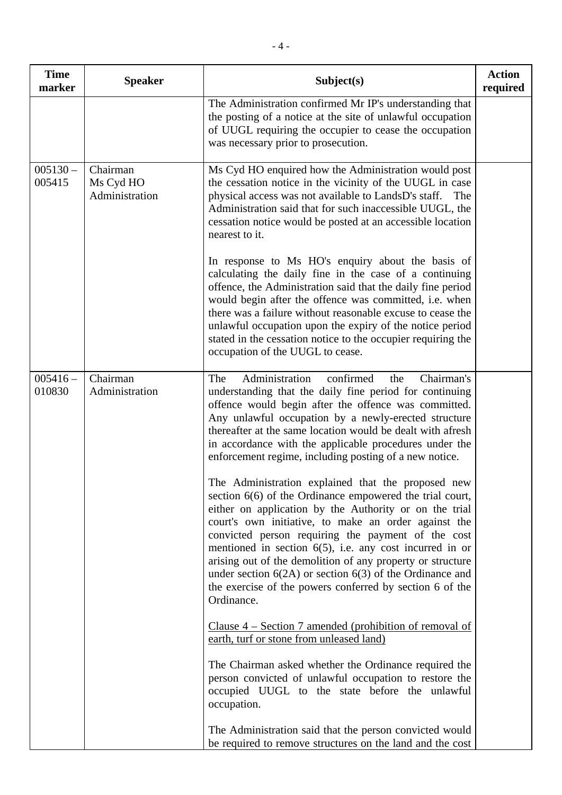| <b>Time</b><br>marker | <b>Speaker</b>                          | Subject(s)                                                                                                                                                                                                                                                                                                                                                                                                                                                                                                                                                     | <b>Action</b><br>required |
|-----------------------|-----------------------------------------|----------------------------------------------------------------------------------------------------------------------------------------------------------------------------------------------------------------------------------------------------------------------------------------------------------------------------------------------------------------------------------------------------------------------------------------------------------------------------------------------------------------------------------------------------------------|---------------------------|
|                       |                                         | The Administration confirmed Mr IP's understanding that<br>the posting of a notice at the site of unlawful occupation<br>of UUGL requiring the occupier to cease the occupation<br>was necessary prior to prosecution.                                                                                                                                                                                                                                                                                                                                         |                           |
| $005130 -$<br>005415  | Chairman<br>Ms Cyd HO<br>Administration | Ms Cyd HO enquired how the Administration would post<br>the cessation notice in the vicinity of the UUGL in case<br>physical access was not available to LandsD's staff.<br>The<br>Administration said that for such inaccessible UUGL, the<br>cessation notice would be posted at an accessible location<br>nearest to it.                                                                                                                                                                                                                                    |                           |
|                       |                                         | In response to Ms HO's enquiry about the basis of<br>calculating the daily fine in the case of a continuing<br>offence, the Administration said that the daily fine period<br>would begin after the offence was committed, i.e. when<br>there was a failure without reasonable excuse to cease the<br>unlawful occupation upon the expiry of the notice period<br>stated in the cessation notice to the occupier requiring the<br>occupation of the UUGL to cease.                                                                                             |                           |
| $005416 -$<br>010830  | Chairman<br>Administration              | Administration<br>confirmed<br>Chairman's<br>The<br>the<br>understanding that the daily fine period for continuing<br>offence would begin after the offence was committed.<br>Any unlawful occupation by a newly-erected structure<br>thereafter at the same location would be dealt with afresh<br>in accordance with the applicable procedures under the<br>enforcement regime, including posting of a new notice.                                                                                                                                           |                           |
|                       |                                         | The Administration explained that the proposed new<br>section $6(6)$ of the Ordinance empowered the trial court,<br>either on application by the Authority or on the trial<br>court's own initiative, to make an order against the<br>convicted person requiring the payment of the cost<br>mentioned in section $6(5)$ , i.e. any cost incurred in or<br>arising out of the demolition of any property or structure<br>under section $6(2A)$ or section $6(3)$ of the Ordinance and<br>the exercise of the powers conferred by section 6 of the<br>Ordinance. |                           |
|                       |                                         | <u>Clause <math>4</math> – Section 7 amended (prohibition of removal of</u><br>earth, turf or stone from unleased land)                                                                                                                                                                                                                                                                                                                                                                                                                                        |                           |
|                       |                                         | The Chairman asked whether the Ordinance required the<br>person convicted of unlawful occupation to restore the<br>occupied UUGL to the state before the unlawful<br>occupation.                                                                                                                                                                                                                                                                                                                                                                               |                           |
|                       |                                         | The Administration said that the person convicted would<br>be required to remove structures on the land and the cost                                                                                                                                                                                                                                                                                                                                                                                                                                           |                           |